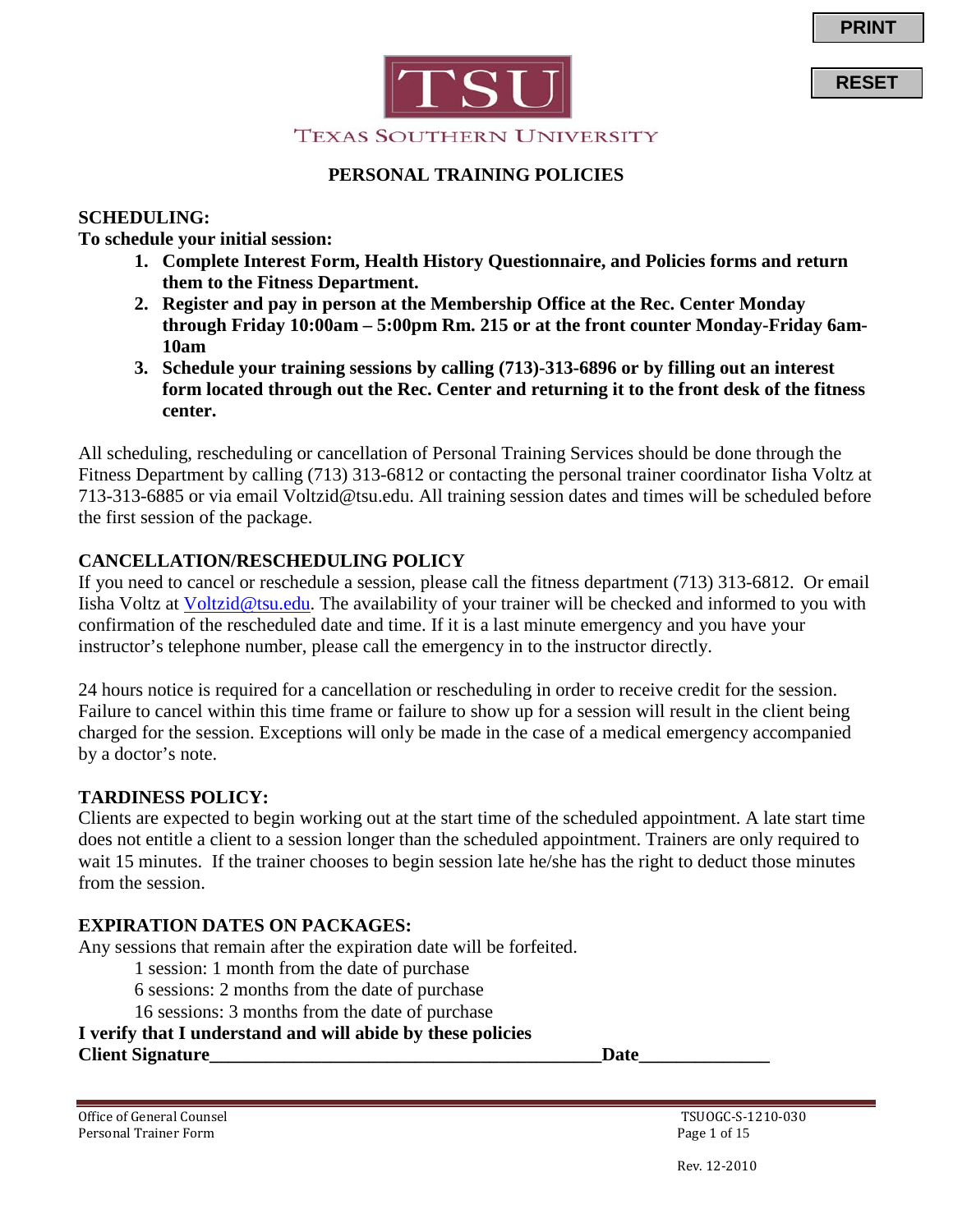**RESET**



### **PERSONAL TRAINING POLICIES**

#### **SCHEDULING:**

**To schedule your initial session:** 

- **1. Complete Interest Form, Health History Questionnaire, and Policies forms and return them to the Fitness Department.**
- **2. Register and pay in person at the Membership Office at the Rec. Center Monday through Friday 10:00am – 5:00pm Rm. 215 or at the front counter Monday-Friday 6am-10am**
- **3. Schedule your training sessions by calling (713)-313-6896 or by filling out an interest form located through out the Rec. Center and returning it to the front desk of the fitness center.**

All scheduling, rescheduling or cancellation of Personal Training Services should be done through the Fitness Department by calling (713) 313-6812 or contacting the personal trainer coordinator Iisha Voltz at 713-313-6885 or via email Voltzid@tsu.edu. All training session dates and times will be scheduled before the first session of the package.

### **CANCELLATION/RESCHEDULING POLICY**

If you need to cancel or reschedule a session, please call the fitness department (713) 313-6812. Or email Iisha Voltz at [Voltzid@tsu.edu.](mailto:Voltzid@tsu.edu) The availability of your trainer will be checked and informed to you with confirmation of the rescheduled date and time. If it is a last minute emergency and you have your instructor's telephone number, please call the emergency in to the instructor directly.

24 hours notice is required for a cancellation or rescheduling in order to receive credit for the session. Failure to cancel within this time frame or failure to show up for a session will result in the client being charged for the session. Exceptions will only be made in the case of a medical emergency accompanied by a doctor's note.

#### **TARDINESS POLICY:**

Clients are expected to begin working out at the start time of the scheduled appointment. A late start time does not entitle a client to a session longer than the scheduled appointment. Trainers are only required to wait 15 minutes. If the trainer chooses to begin session late he/she has the right to deduct those minutes from the session.

### **EXPIRATION DATES ON PACKAGES:**

Any sessions that remain after the expiration date will be forfeited.

1 session: 1 month from the date of purchase

6 sessions: 2 months from the date of purchase

16 sessions: 3 months from the date of purchase

#### **I verify that I understand and will abide by these policies**

**Client Signature** Date

Office of General Counsel<br>
Personal Trainer Form<br>
Page 1 of 15 Personal Trainer Form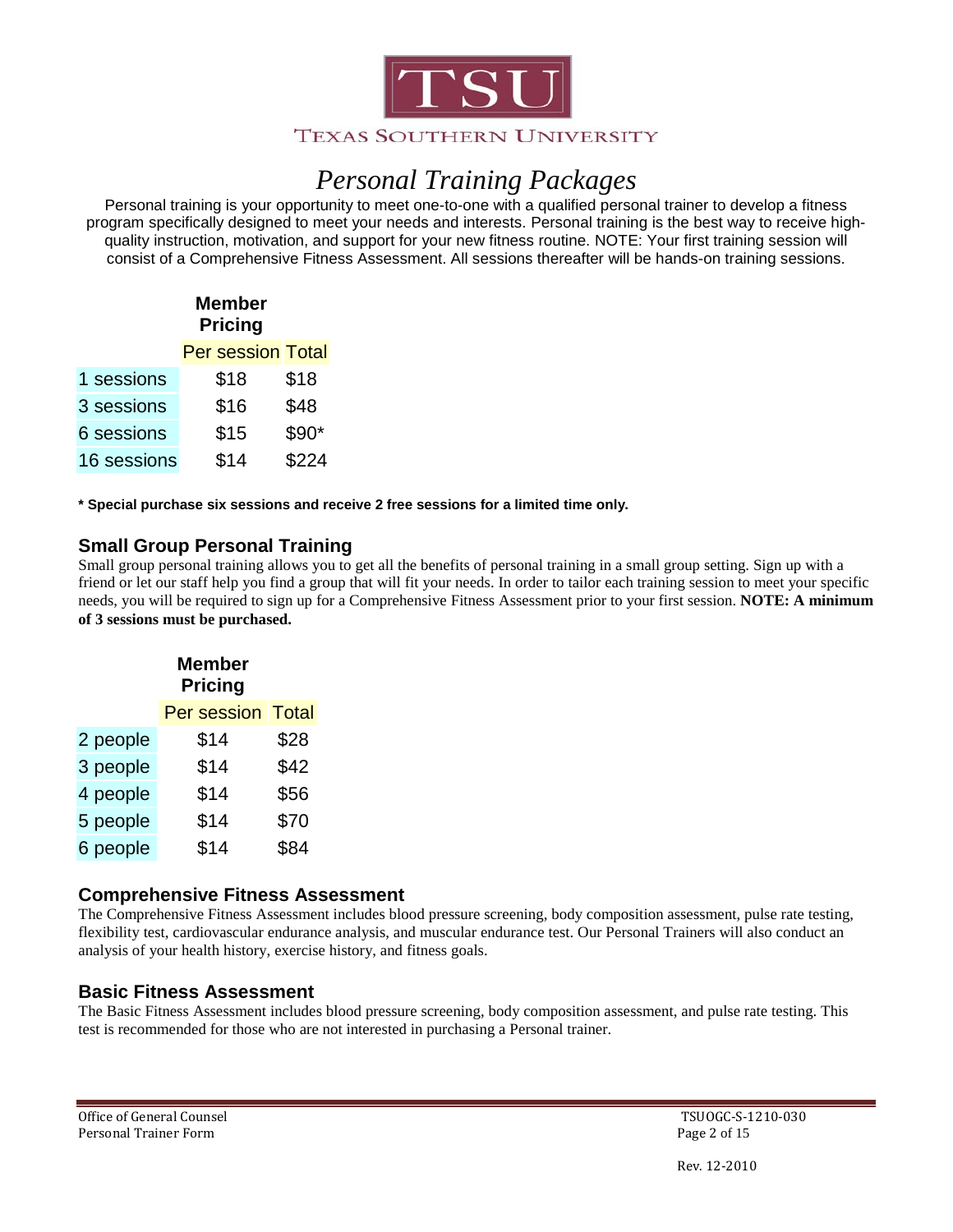

# *Personal Training Packages*

Personal training is your opportunity to meet one-to-one with a qualified personal trainer to develop a fitness program specifically designed to meet your needs and interests. Personal training is the best way to receive highquality instruction, motivation, and support for your new fitness routine. NOTE: Your first training session will consist of a Comprehensive Fitness Assessment. All sessions thereafter will be hands-on training sessions.

## **Member Pricing**

| <b>Per session Total</b> |  |
|--------------------------|--|
|                          |  |

| 1 sessions  | \$18 | \$18   |
|-------------|------|--------|
| 3 sessions  | \$16 | \$48   |
| 6 sessions  | \$15 | $$90*$ |
| 16 sessions | \$14 | \$224  |

**\* Special purchase six sessions and receive 2 free sessions for a limited time only.**

## **Small Group Personal Training**

Small group personal training allows you to get all the benefits of personal training in a small group setting. Sign up with a friend or let our staff help you find a group that will fit your needs. In order to tailor each training session to meet your specific needs, you will be required to sign up for a Comprehensive Fitness Assessment prior to your first session. **NOTE: A minimum of 3 sessions must be purchased.**

|          | <b>Member</b><br><b>Pricing</b> |       |
|----------|---------------------------------|-------|
|          | Per session                     | Total |
| 2 people | \$14                            | \$28  |
| 3 people | \$14                            | \$42  |
| 4 people | \$14                            | \$56  |
| 5 people | \$14                            | \$70  |
| 6 people | \$14                            | \$84  |

### **Comprehensive Fitness Assessment**

The Comprehensive Fitness Assessment includes blood pressure screening, body composition assessment, pulse rate testing, flexibility test, cardiovascular endurance analysis, and muscular endurance test. Our Personal Trainers will also conduct an analysis of your health history, exercise history, and fitness goals.

## **Basic Fitness Assessment**

The Basic Fitness Assessment includes blood pressure screening, body composition assessment, and pulse rate testing. This test is recommended for those who are not interested in purchasing a Personal trainer.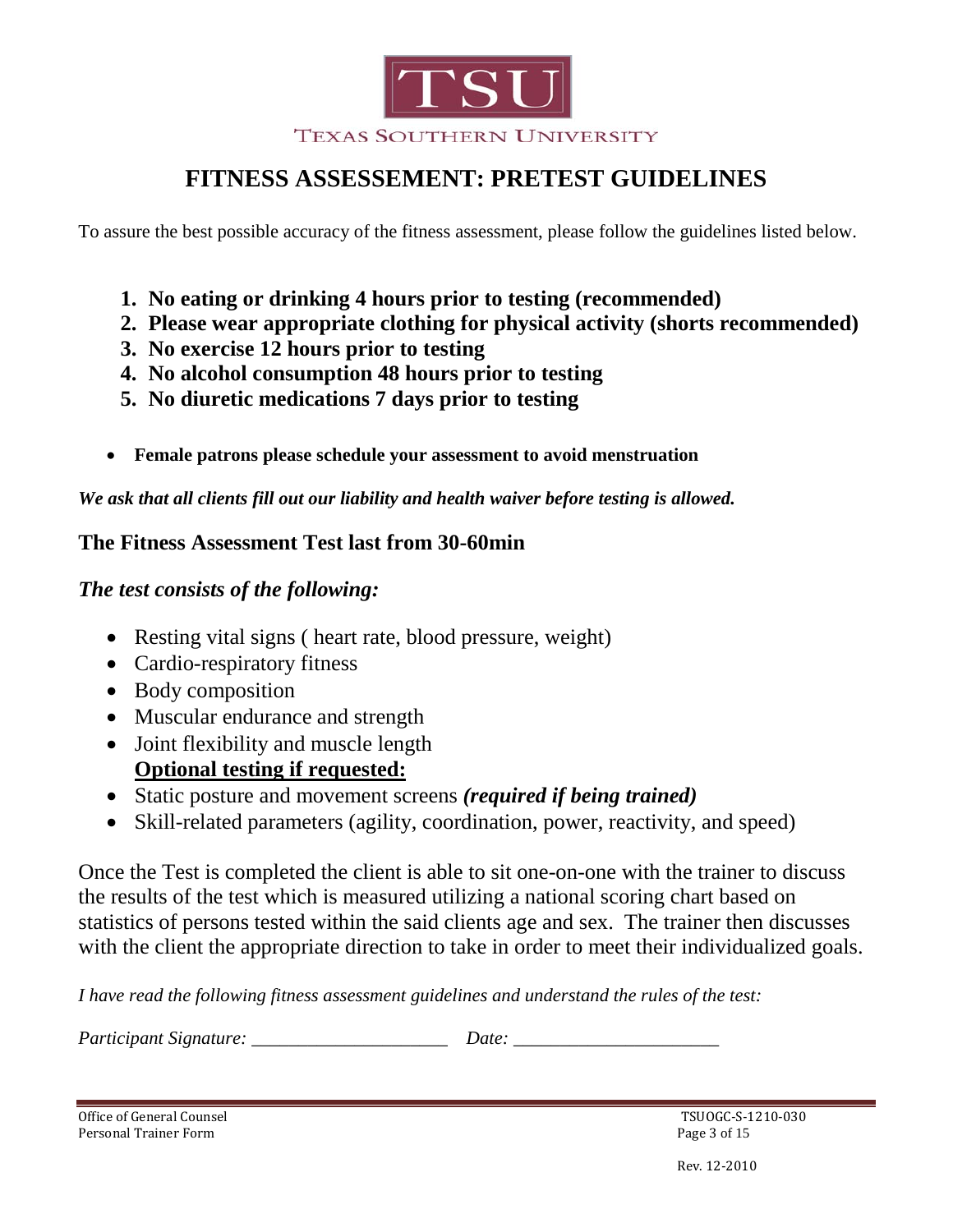

## **FITNESS ASSESSEMENT: PRETEST GUIDELINES**

To assure the best possible accuracy of the fitness assessment, please follow the guidelines listed below.

- **1. No eating or drinking 4 hours prior to testing (recommended)**
- **2. Please wear appropriate clothing for physical activity (shorts recommended)**
- **3. No exercise 12 hours prior to testing**
- **4. No alcohol consumption 48 hours prior to testing**
- **5. No diuretic medications 7 days prior to testing**
- **Female patrons please schedule your assessment to avoid menstruation**

*We ask that all clients fill out our liability and health waiver before testing is allowed.*

## **The Fitness Assessment Test last from 30-60min**

## *The test consists of the following:*

- Resting vital signs ( heart rate, blood pressure, weight)
- Cardio-respiratory fitness
- Body composition
- Muscular endurance and strength
- Joint flexibility and muscle length **Optional testing if requested:**
- Static posture and movement screens *(required if being trained)*
- Skill-related parameters (agility, coordination, power, reactivity, and speed)

Once the Test is completed the client is able to sit one-on-one with the trainer to discuss the results of the test which is measured utilizing a national scoring chart based on statistics of persons tested within the said clients age and sex. The trainer then discusses with the client the appropriate direction to take in order to meet their individualized goals.

*I have read the following fitness assessment guidelines and understand the rules of the test:*

*Participant Signature:* \_\_\_\_\_\_\_\_\_\_\_\_\_\_\_\_\_\_\_\_\_\_\_\_ *Date:* 

Office of General Counsel<br>
Personal Trainer Form<br>
Page 3 of 15 Personal Trainer Form

Rev. 12-2010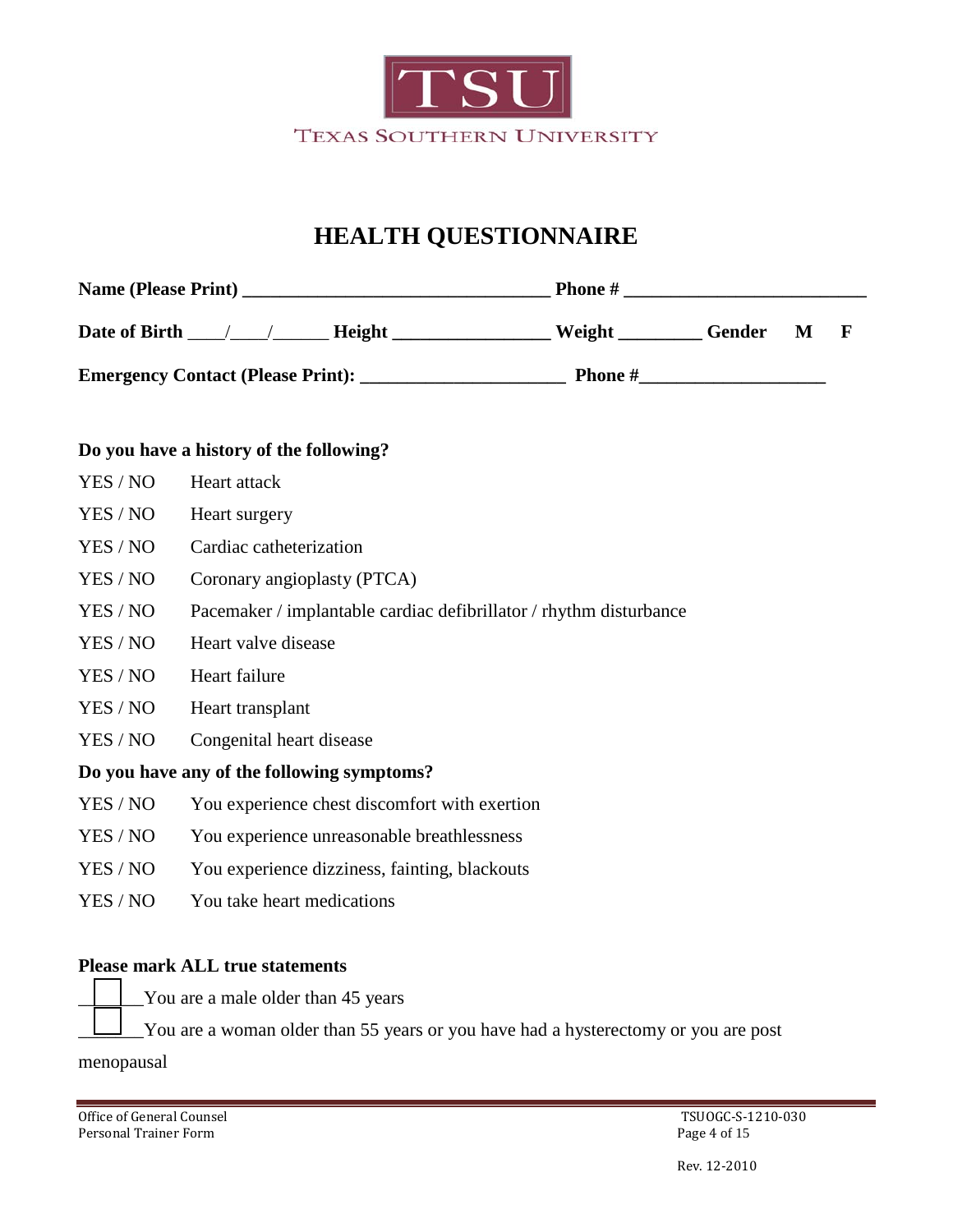

## **HEALTH QUESTIONNAIRE**

| <b>Name (Please Print)</b>               | <b>Phone</b> # |               |   |  |  |
|------------------------------------------|----------------|---------------|---|--|--|
| Date of Birth<br>Height                  | Weight         | <b>Gender</b> | M |  |  |
| <b>Emergency Contact (Please Print):</b> | <b>Phone</b> # |               |   |  |  |

#### **Do you have a history of the following?**

- YES / NO Heart attack YES / NO Heart surgery YES / NO Cardiac catheterization
- YES / NO Coronary angioplasty (PTCA)
- YES / NO Pacemaker / implantable cardiac defibrillator / rhythm disturbance
- YES / NO Heart valve disease
- YES / NO Heart failure
- YES / NO Heart transplant
- YES / NO Congenital heart disease

### **Do you have any of the following symptoms?**

- YES / NO You experience chest discomfort with exertion
- YES / NO You experience unreasonable breathlessness
- YES / NO You experience dizziness, fainting, blackouts
- YES / NO You take heart medications

### **Please mark ALL true statements**

- You are a male older than 45 years
- \_\_\_\_\_\_\_You are a woman older than 55 years or you have had a hysterectomy or you are post

menopausal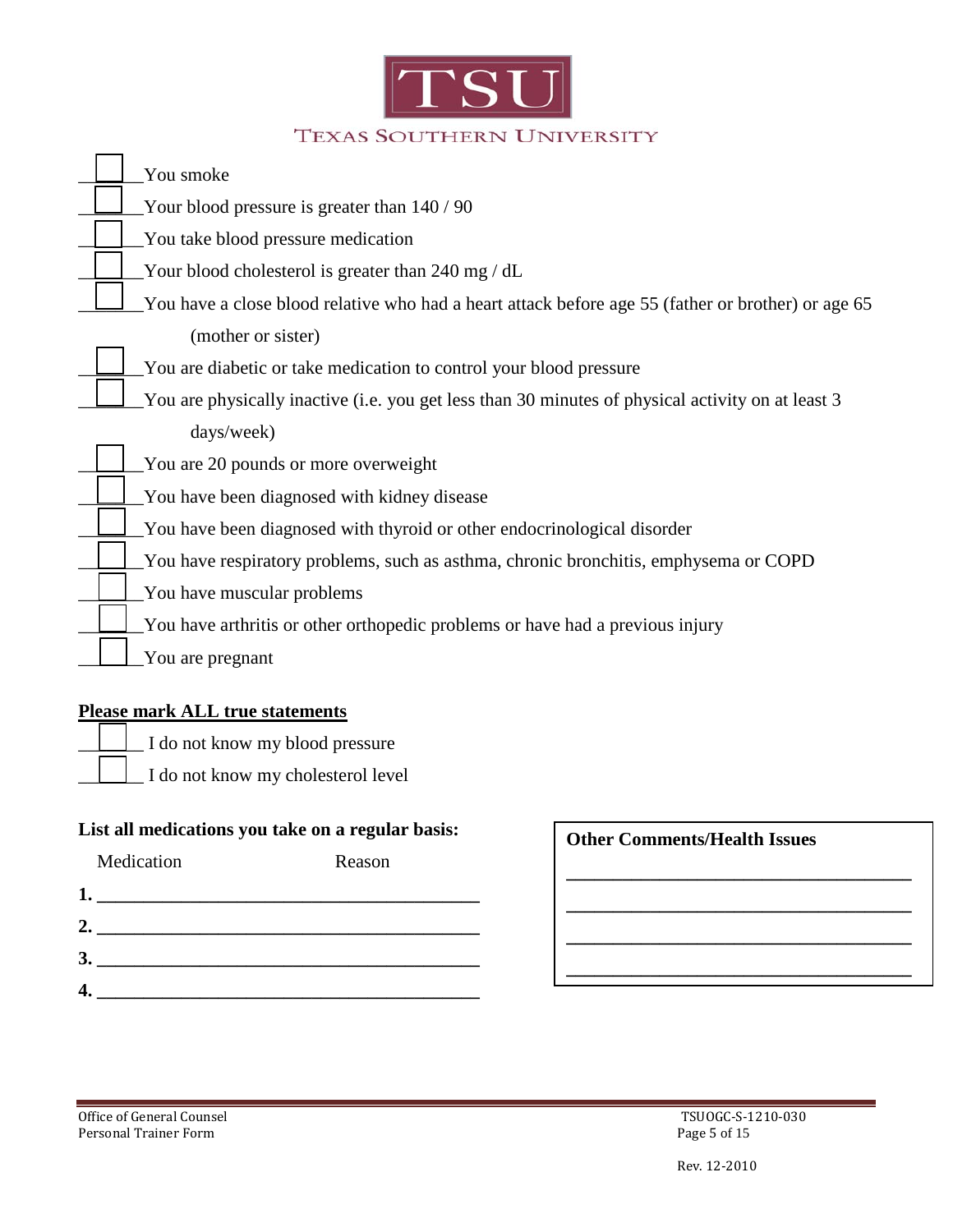

| You smoke                                                                                          |
|----------------------------------------------------------------------------------------------------|
| Your blood pressure is greater than 140 / 90                                                       |
| You take blood pressure medication                                                                 |
| Your blood cholesterol is greater than 240 mg / dL                                                 |
| You have a close blood relative who had a heart attack before age 55 (father or brother) or age 65 |
| (mother or sister)                                                                                 |
| You are diabetic or take medication to control your blood pressure                                 |
| You are physically inactive (i.e. you get less than 30 minutes of physical activity on at least 3  |
| days/week)                                                                                         |
| You are 20 pounds or more overweight                                                               |
| You have been diagnosed with kidney disease                                                        |
| You have been diagnosed with thyroid or other endocrinological disorder                            |
| You have respiratory problems, such as asthma, chronic bronchitis, emphysema or COPD               |
| You have muscular problems                                                                         |
| You have arthritis or other orthopedic problems or have had a previous injury                      |
| You are pregnant                                                                                   |

### **Please mark ALL true statements**

- \_\_\_\_\_\_\_ I do not know my blood pressure
	- \_\_\_\_\_\_\_ I do not know my cholesterol level

## **List all medications you take on a regular basis:**

| Medication | Reason |
|------------|--------|
|            |        |
|            |        |
|            |        |
|            |        |

| <b>Other Comments/Health Issues</b> |  |  |
|-------------------------------------|--|--|
|                                     |  |  |
|                                     |  |  |
|                                     |  |  |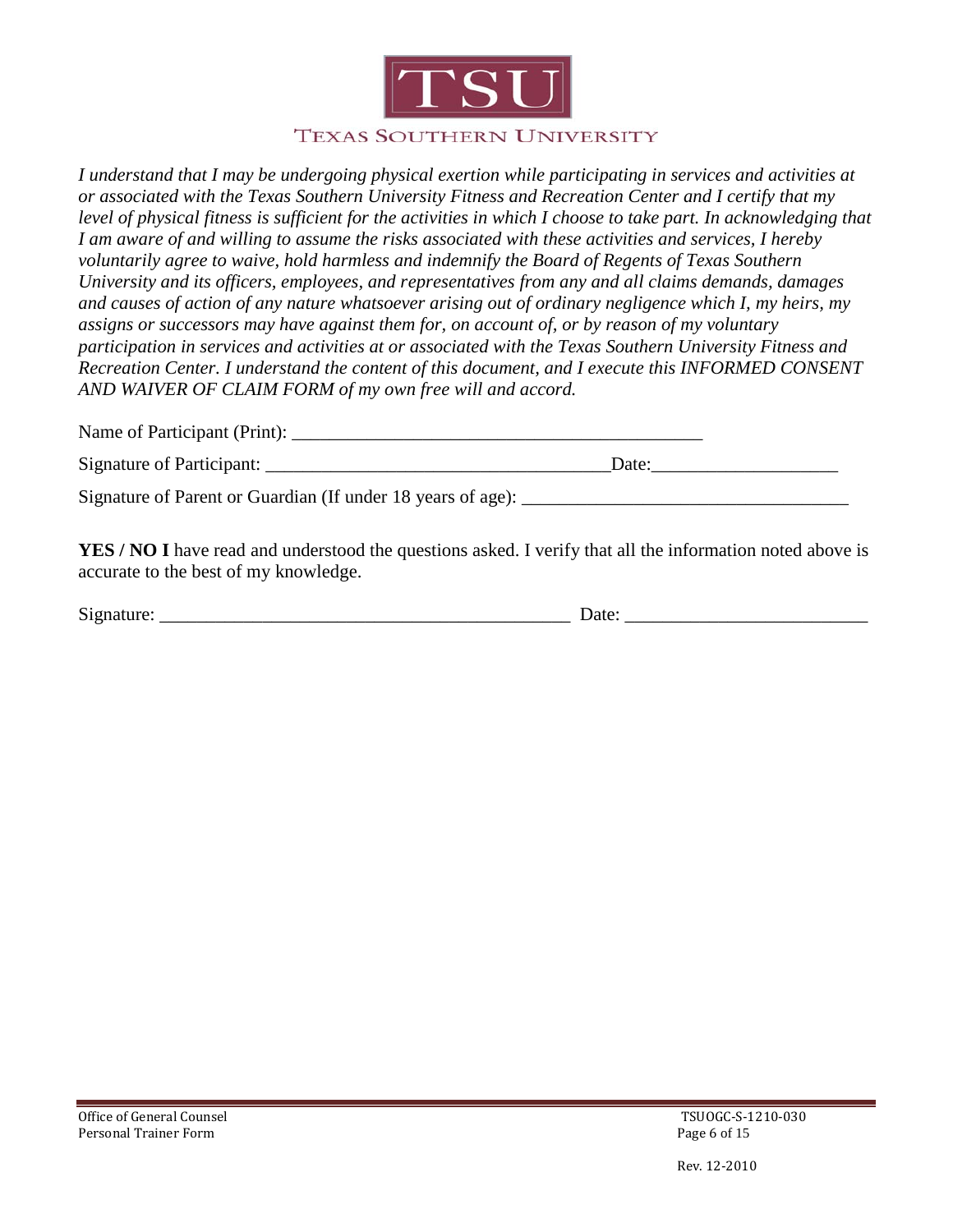

#### **TEXAS SOUTHERN UNIVERSITY**

*I understand that I may be undergoing physical exertion while participating in services and activities at or associated with the Texas Southern University Fitness and Recreation Center and I certify that my level of physical fitness is sufficient for the activities in which I choose to take part. In acknowledging that I am aware of and willing to assume the risks associated with these activities and services, I hereby voluntarily agree to waive, hold harmless and indemnify the Board of Regents of Texas Southern University and its officers, employees, and representatives from any and all claims demands, damages and causes of action of any nature whatsoever arising out of ordinary negligence which I, my heirs, my assigns or successors may have against them for, on account of, or by reason of my voluntary participation in services and activities at or associated with the Texas Southern University Fitness and Recreation Center. I understand the content of this document, and I execute this INFORMED CONSENT AND WAIVER OF CLAIM FORM of my own free will and accord.* 

| Name of Participant (Print):<br>. |  |
|-----------------------------------|--|
|-----------------------------------|--|

| Signature<br>cipant.<br>OT.<br>.<br>__ | Jate |
|----------------------------------------|------|
|----------------------------------------|------|

Signature of Parent or Guardian (If under 18 years of age):

**YES / NO I** have read and understood the questions asked. I verify that all the information noted above is accurate to the best of my knowledge.

| $\sim$ |                |
|--------|----------------|
| ۱۶'د   |                |
| .      | ----<br>-<br>. |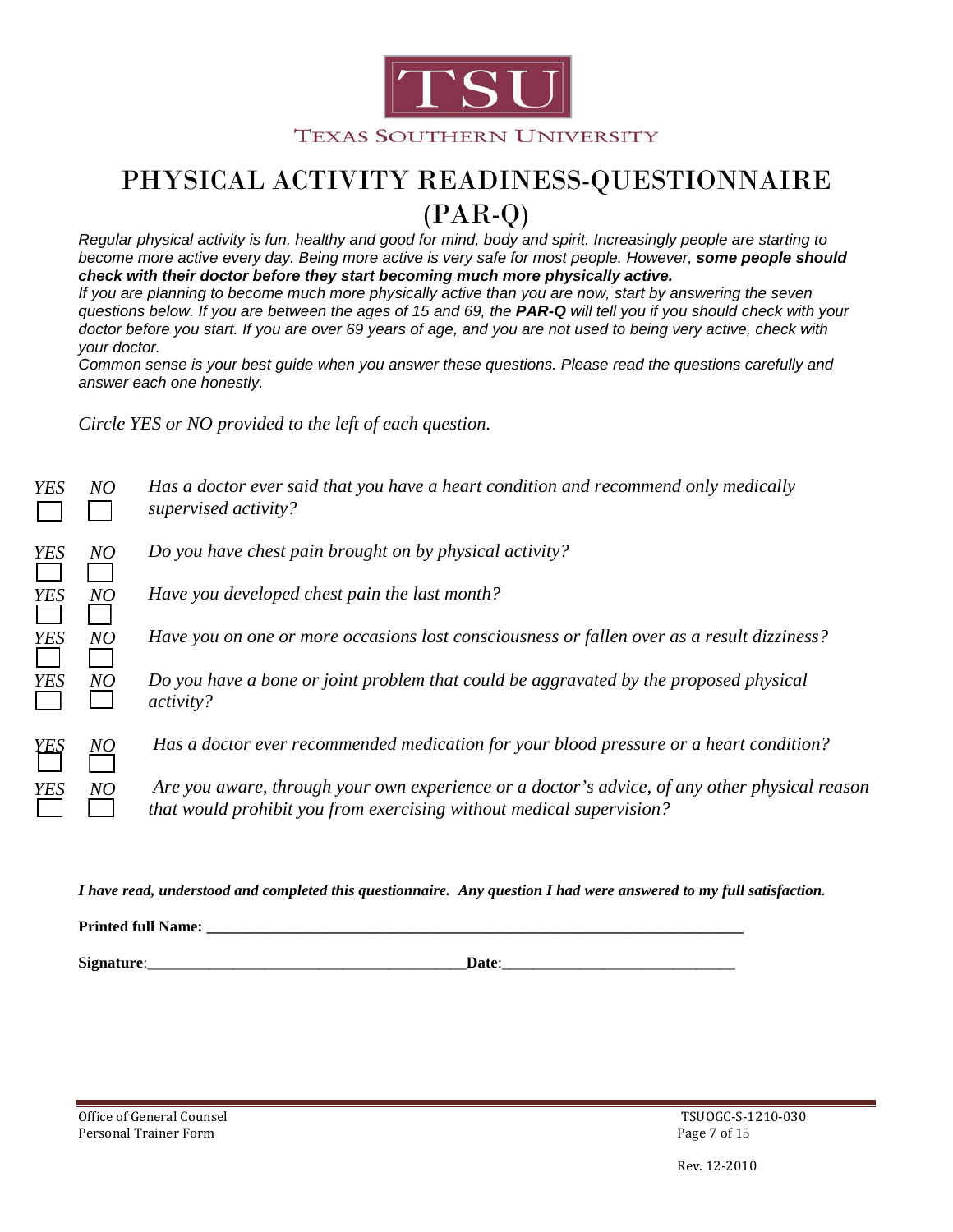

# PHYSICAL ACTIVITY READINESS-QUESTIONNAIRE (PAR-Q)

*Regular physical activity is fun, healthy and good for mind, body and spirit. Increasingly people are starting to become more active every day. Being more active is very safe for most people. However, some people should check with their doctor before they start becoming much more physically active.*

*If you are planning to become much more physically active than you are now, start by answering the seven questions below. If you are between the ages of 15 and 69, the PAR-Q will tell you if you should check with your doctor before you start. If you are over 69 years of age, and you are not used to being very active, check with your doctor.*

*Common sense is your best guide when you answer these questions. Please read the questions carefully and answer each one honestly.*

*Circle YES or NO provided to the left of each question.*

| NO | Has a doctor ever said that you have a heart condition and recommend only medically<br>supervised activity?                                                           |
|----|-----------------------------------------------------------------------------------------------------------------------------------------------------------------------|
| NO | Do you have chest pain brought on by physical activity?                                                                                                               |
| NO | Have you developed chest pain the last month?                                                                                                                         |
| NO | Have you on one or more occasions lost consciousness or fallen over as a result dizziness?                                                                            |
| NO | Do you have a bone or joint problem that could be aggravated by the proposed physical<br>activity?                                                                    |
| NO | Has a doctor ever recommended medication for your blood pressure or a heart condition?                                                                                |
| NO | Are you aware, through your own experience or a doctor's advice, of any other physical reason<br>that would prohibit you from exercising without medical supervision? |
|    |                                                                                                                                                                       |

*I have read, understood and completed this questionnaire. Any question I had were answered to my full satisfaction.*

**Printed full Name: \_\_\_\_\_\_\_\_\_\_\_\_\_\_\_\_\_\_\_\_\_\_\_\_\_\_\_\_\_\_\_\_\_\_\_\_\_\_\_\_\_\_\_\_\_\_\_\_\_\_\_\_\_\_\_\_\_\_\_\_\_\_\_\_\_\_\_\_\_**

**Signature**:\_\_\_\_\_\_\_\_\_\_\_\_\_\_\_\_\_\_\_\_\_\_\_\_\_\_\_\_\_\_\_\_\_\_\_\_\_\_\_\_\_**Date**:\_\_\_\_\_\_\_\_\_\_\_\_\_\_\_\_\_\_\_\_\_\_\_\_\_\_\_\_\_\_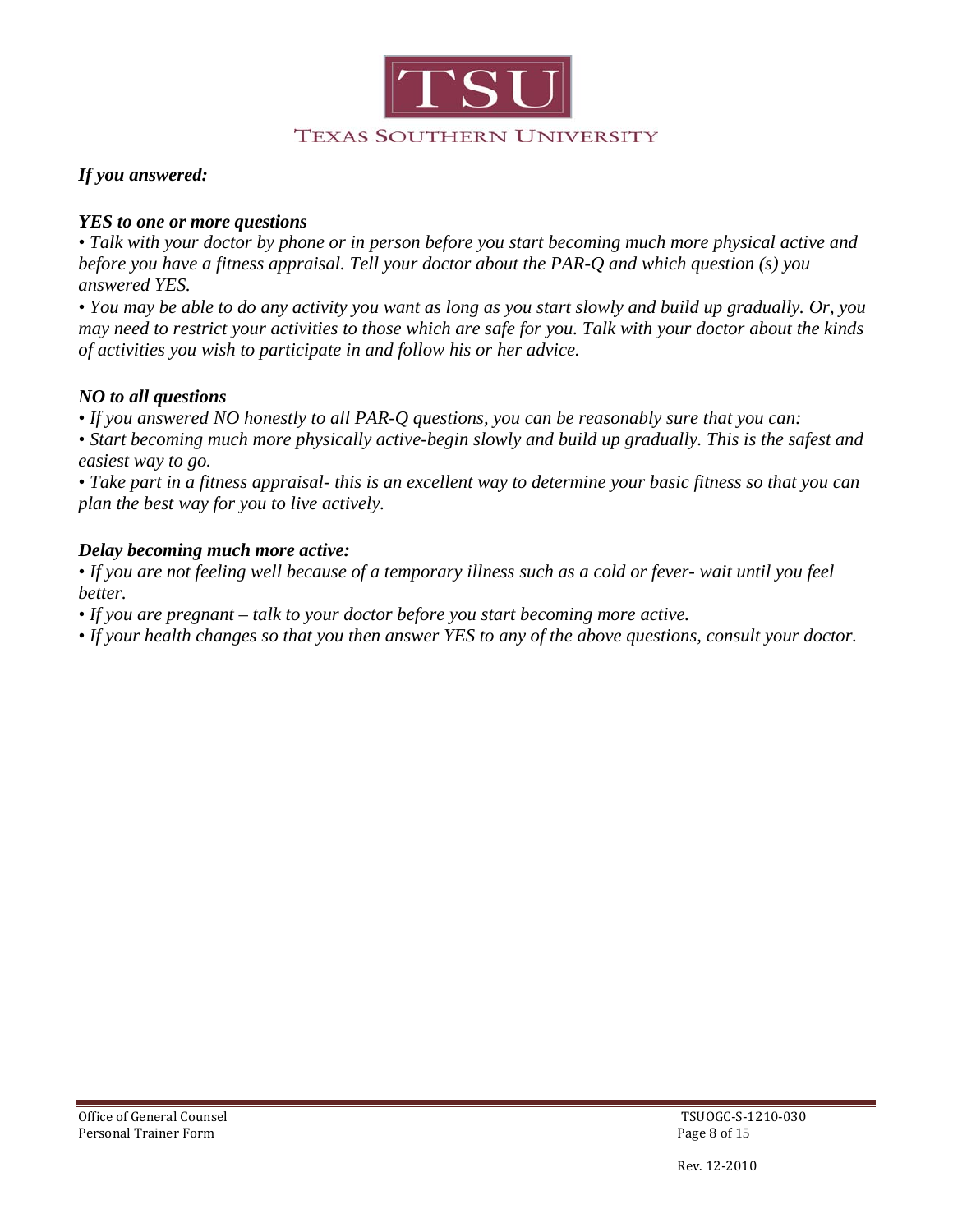

### *If you answered:*

#### *YES to one or more questions*

*• Talk with your doctor by phone or in person before you start becoming much more physical active and before you have a fitness appraisal. Tell your doctor about the PAR-Q and which question (s) you answered YES.*

*• You may be able to do any activity you want as long as you start slowly and build up gradually. Or, you may need to restrict your activities to those which are safe for you. Talk with your doctor about the kinds of activities you wish to participate in and follow his or her advice.*

#### *NO to all questions*

*• If you answered NO honestly to all PAR-Q questions, you can be reasonably sure that you can:*

*• Start becoming much more physically active-begin slowly and build up gradually. This is the safest and easiest way to go.*

*• Take part in a fitness appraisal- this is an excellent way to determine your basic fitness so that you can plan the best way for you to live actively.*

#### *Delay becoming much more active:*

*• If you are not feeling well because of a temporary illness such as a cold or fever- wait until you feel better.*

*• If you are pregnant – talk to your doctor before you start becoming more active.*

*• If your health changes so that you then answer YES to any of the above questions, consult your doctor.*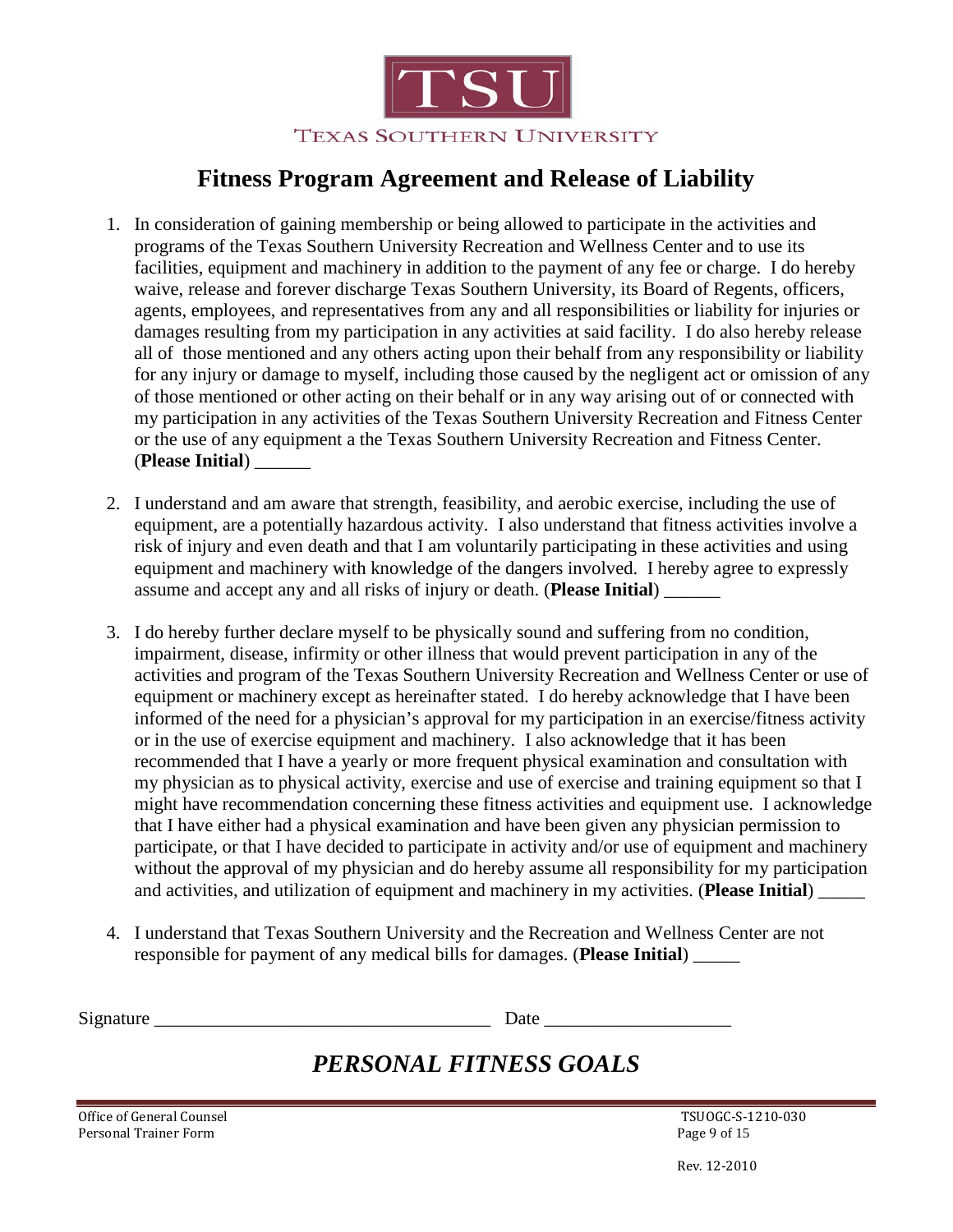

## **Fitness Program Agreement and Release of Liability**

- 1. In consideration of gaining membership or being allowed to participate in the activities and programs of the Texas Southern University Recreation and Wellness Center and to use its facilities, equipment and machinery in addition to the payment of any fee or charge. I do hereby waive, release and forever discharge Texas Southern University, its Board of Regents, officers, agents, employees, and representatives from any and all responsibilities or liability for injuries or damages resulting from my participation in any activities at said facility. I do also hereby release all of those mentioned and any others acting upon their behalf from any responsibility or liability for any injury or damage to myself, including those caused by the negligent act or omission of any of those mentioned or other acting on their behalf or in any way arising out of or connected with my participation in any activities of the Texas Southern University Recreation and Fitness Center or the use of any equipment a the Texas Southern University Recreation and Fitness Center. (**Please Initial**) \_\_\_\_\_\_
- 2. I understand and am aware that strength, feasibility, and aerobic exercise, including the use of equipment, are a potentially hazardous activity. I also understand that fitness activities involve a risk of injury and even death and that I am voluntarily participating in these activities and using equipment and machinery with knowledge of the dangers involved. I hereby agree to expressly assume and accept any and all risks of injury or death. (**Please Initial**) \_\_\_\_\_\_
- 3. I do hereby further declare myself to be physically sound and suffering from no condition, impairment, disease, infirmity or other illness that would prevent participation in any of the activities and program of the Texas Southern University Recreation and Wellness Center or use of equipment or machinery except as hereinafter stated. I do hereby acknowledge that I have been informed of the need for a physician's approval for my participation in an exercise/fitness activity or in the use of exercise equipment and machinery. I also acknowledge that it has been recommended that I have a yearly or more frequent physical examination and consultation with my physician as to physical activity, exercise and use of exercise and training equipment so that I might have recommendation concerning these fitness activities and equipment use. I acknowledge that I have either had a physical examination and have been given any physician permission to participate, or that I have decided to participate in activity and/or use of equipment and machinery without the approval of my physician and do hereby assume all responsibility for my participation and activities, and utilization of equipment and machinery in my activities. (**Please Initial**) \_\_\_\_\_
- 4. I understand that Texas Southern University and the Recreation and Wellness Center are not responsible for payment of any medical bills for damages. (**Please Initial**) \_\_\_\_\_

Signature \_\_\_\_\_\_\_\_\_\_\_\_\_\_\_\_\_\_\_\_\_\_\_\_\_\_\_\_\_\_\_\_\_\_\_\_ Date \_\_\_\_\_\_\_\_\_\_\_\_\_\_\_\_\_\_\_\_

## *PERSONAL FITNESS GOALS*

Office of General Counsel<br>
Personal Trainer Form<br>
Page 9 of 15 Personal Trainer Form

Rev. 12-2010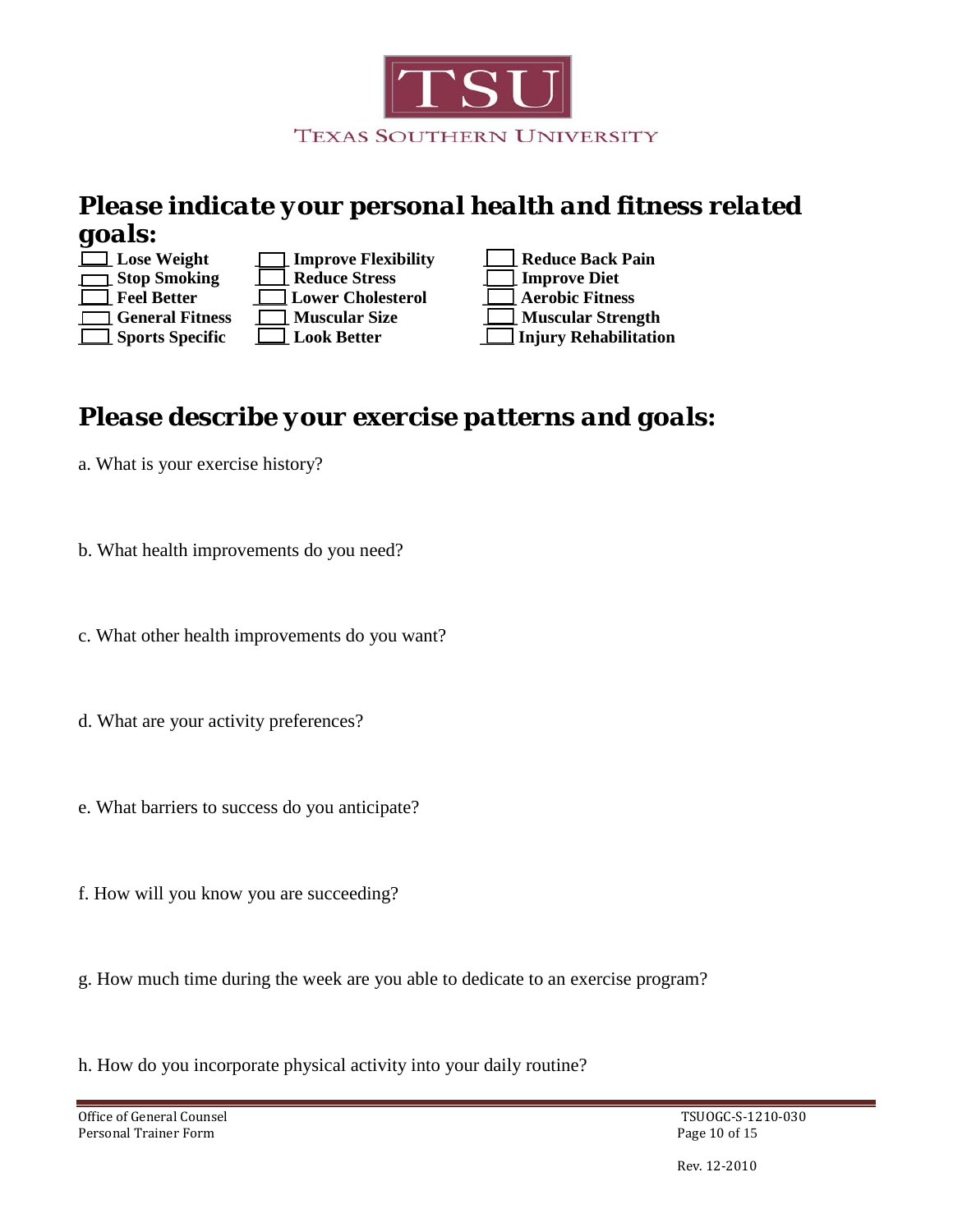

## *Please indicate your personal health and fitness related goals:*



| $\Box$ Lose Weight     | $\Box$ Improve Flexibility | Reduce Back Pa         |
|------------------------|----------------------------|------------------------|
| $\Box$ Stop Smoking    | Reduce Stress              | <b>Improve Diet</b>    |
| $\Box$ Feel Better     | <b>Lower Cholesterol</b>   | $\Box$ Aerobic Fitness |
| $\Box$ General Fitness | Muscular Size              | $\Box$ Muscular Stren  |
| $\Box$ Sports Specific | $\Box$ Look Better         | Injury Rehabilit       |

**Lose Weight \_\_\_\_ Improve Flexibility Let us and Reduce Back Pain \_\_\_\_ General Fitness \_\_\_\_ Muscular Size \_\_\_\_ Muscular Strength \_\_\_\_ Sports Specific \_\_\_\_ Look Better \_\_\_\_ Injury Rehabilitation**

## *Please describe your exercise patterns and goals:*

- a. What is your exercise history?
- b. What health improvements do you need?
- c. What other health improvements do you want?
- d. What are your activity preferences?
- e. What barriers to success do you anticipate?
- f. How will you know you are succeeding?
- g. How much time during the week are you able to dedicate to an exercise program?

h. How do you incorporate physical activity into your daily routine?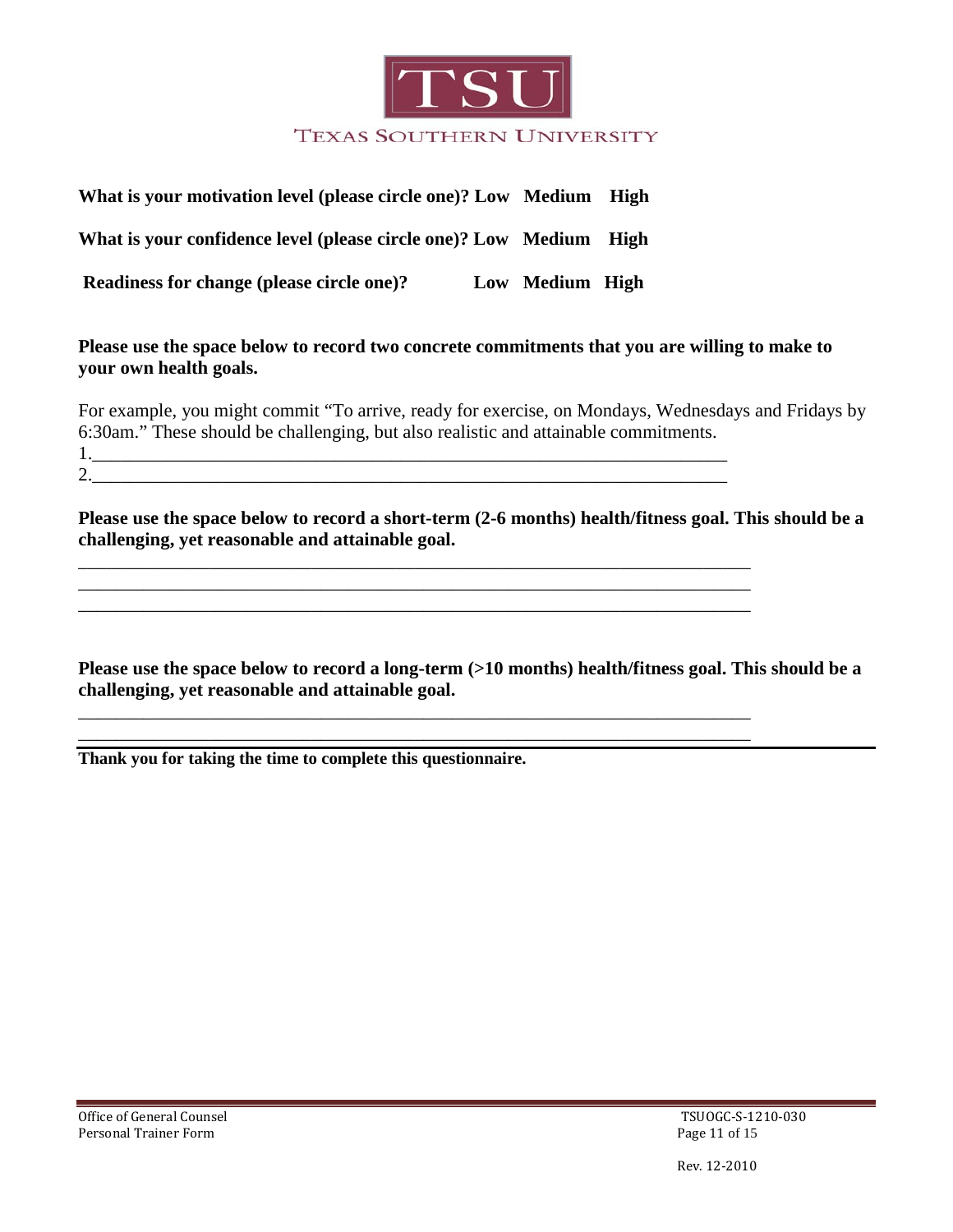

| What is your motivation level (please circle one)? Low Medium High |                 |  |
|--------------------------------------------------------------------|-----------------|--|
| What is your confidence level (please circle one)? Low Medium High |                 |  |
| Readiness for change (please circle one)?                          | Low Medium High |  |

### **Please use the space below to record two concrete commitments that you are willing to make to your own health goals.**

For example, you might commit "To arrive, ready for exercise, on Mondays, Wednesdays and Fridays by 6:30am." These should be challenging, but also realistic and attainable commitments. 1.\_\_\_\_\_\_\_\_\_\_\_\_\_\_\_\_\_\_\_\_\_\_\_\_\_\_\_\_\_\_\_\_\_\_\_\_\_\_\_\_\_\_\_\_\_\_\_\_\_\_\_\_\_\_\_\_\_\_\_\_\_\_\_\_\_\_\_\_  $2.$ 

**Please use the space below to record a short-term (2-6 months) health/fitness goal. This should be a challenging, yet reasonable and attainable goal.**

\_\_\_\_\_\_\_\_\_\_\_\_\_\_\_\_\_\_\_\_\_\_\_\_\_\_\_\_\_\_\_\_\_\_\_\_\_\_\_\_\_\_\_\_\_\_\_\_\_\_\_\_\_\_\_\_\_\_\_\_\_\_\_\_\_\_\_\_\_\_\_\_

**Please use the space below to record a long-term (>10 months) health/fitness goal. This should be a challenging, yet reasonable and attainable goal.**

\_\_\_\_\_\_\_\_\_\_\_\_\_\_\_\_\_\_\_\_\_\_\_\_\_\_\_\_\_\_\_\_\_\_\_\_\_\_\_\_\_\_\_\_\_\_\_\_\_\_\_\_\_\_\_\_\_\_\_\_\_\_\_\_\_\_\_\_\_\_\_\_ \_\_\_\_\_\_\_\_\_\_\_\_\_\_\_\_\_\_\_\_\_\_\_\_\_\_\_\_\_\_\_\_\_\_\_\_\_\_\_\_\_\_\_\_\_\_\_\_\_\_\_\_\_\_\_\_\_\_\_\_\_\_\_\_\_\_\_\_\_\_\_\_

**Thank you for taking the time to complete this questionnaire.**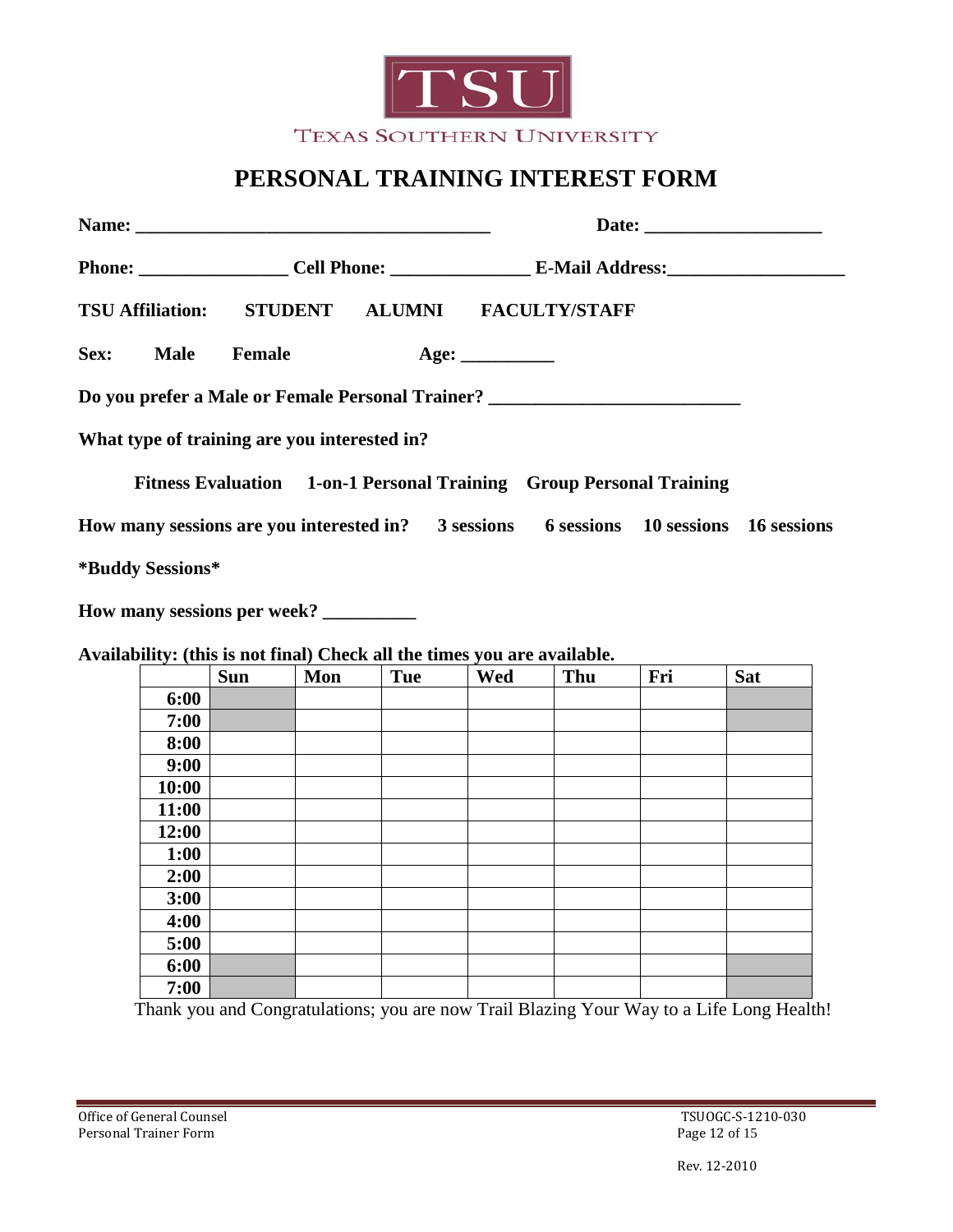

## **PERSONAL TRAINING INTEREST FORM**

|                                                                                        | Phone: Cell Phone: Cell Phone: E-Mail Address:                      |  |  |  |  |  |
|----------------------------------------------------------------------------------------|---------------------------------------------------------------------|--|--|--|--|--|
| TSU Affiliation: STUDENT ALUMNI FACULTY/STAFF                                          |                                                                     |  |  |  |  |  |
| Sex: Male Female                                                                       |                                                                     |  |  |  |  |  |
| Do you prefer a Male or Female Personal Trainer? _______________________________       |                                                                     |  |  |  |  |  |
| What type of training are you interested in?                                           |                                                                     |  |  |  |  |  |
|                                                                                        | Fitness Evaluation 1-on-1 Personal Training Group Personal Training |  |  |  |  |  |
| How many sessions are you interested in? 3 sessions 6 sessions 10 sessions 16 sessions |                                                                     |  |  |  |  |  |
| *Buddy Sessions*                                                                       |                                                                     |  |  |  |  |  |
|                                                                                        |                                                                     |  |  |  |  |  |

**Availability: (this is not final) Check all the times you are available.**

| $\sim$ | <b>Sun</b> | Mon | Tue | $\ddot{\phantom{0}}$<br>Wed | Thu | Fri | <b>Sat</b> |
|--------|------------|-----|-----|-----------------------------|-----|-----|------------|
| 6:00   |            |     |     |                             |     |     |            |
| 7:00   |            |     |     |                             |     |     |            |
| 8:00   |            |     |     |                             |     |     |            |
| 9:00   |            |     |     |                             |     |     |            |
| 10:00  |            |     |     |                             |     |     |            |
| 11:00  |            |     |     |                             |     |     |            |
| 12:00  |            |     |     |                             |     |     |            |
| 1:00   |            |     |     |                             |     |     |            |
| 2:00   |            |     |     |                             |     |     |            |
| 3:00   |            |     |     |                             |     |     |            |
| 4:00   |            |     |     |                             |     |     |            |
| 5:00   |            |     |     |                             |     |     |            |
| 6:00   |            |     |     |                             |     |     |            |
| 7:00   |            |     |     |                             |     |     |            |

Thank you and Congratulations; you are now Trail Blazing Your Way to a Life Long Health!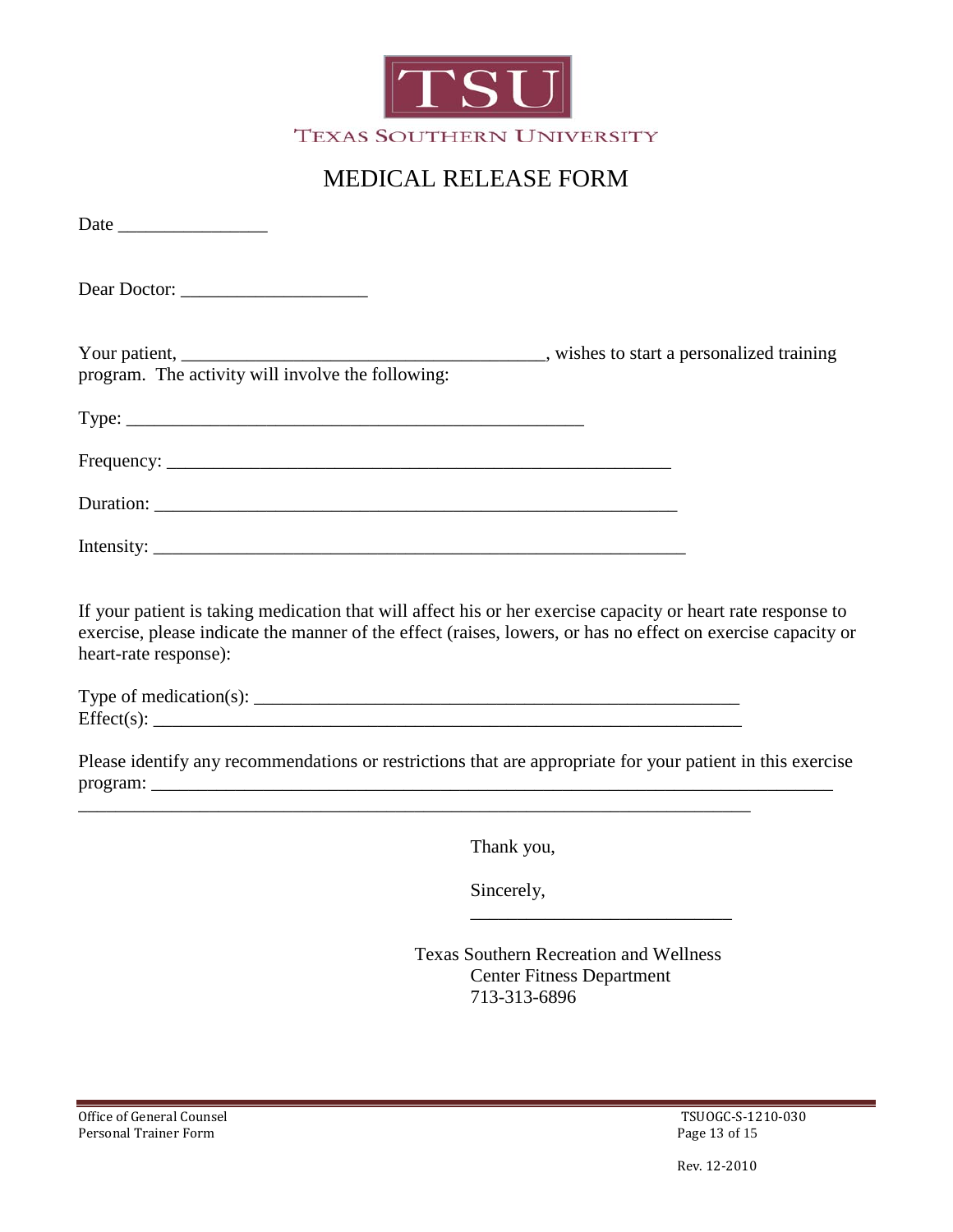

## MEDICAL RELEASE FORM

| Dear Doctor:                                                                                                                                                                                                                                          |  |
|-------------------------------------------------------------------------------------------------------------------------------------------------------------------------------------------------------------------------------------------------------|--|
| program. The activity will involve the following:                                                                                                                                                                                                     |  |
|                                                                                                                                                                                                                                                       |  |
|                                                                                                                                                                                                                                                       |  |
|                                                                                                                                                                                                                                                       |  |
|                                                                                                                                                                                                                                                       |  |
| If your patient is taking medication that will affect his or her exercise capacity or heart rate response to<br>exercise, please indicate the manner of the effect (raises, lowers, or has no effect on exercise capacity or<br>heart-rate response): |  |
|                                                                                                                                                                                                                                                       |  |
| Dlage identify any recommendations or restrictions that are appropriate for your patient in this evergica                                                                                                                                             |  |

Please identify any recommendations or restrictions that are appropriate for your patient in this exercise program: \_\_\_\_\_\_\_\_\_\_\_\_\_\_\_\_\_\_\_\_\_\_\_\_\_\_\_\_\_\_\_\_\_\_\_\_\_\_\_\_\_\_\_\_\_\_\_\_\_\_\_\_\_\_\_\_\_\_\_\_\_\_\_\_\_\_\_\_\_\_\_\_\_

\_\_\_\_\_\_\_\_\_\_\_\_\_\_\_\_\_\_\_\_\_\_\_\_\_\_\_\_\_\_\_\_\_\_\_\_\_\_\_\_\_\_\_\_\_\_\_\_\_\_\_\_\_\_\_\_\_\_\_\_\_\_\_\_\_\_\_\_\_\_\_\_

Thank you,

Sincerely,

Texas Southern Recreation and Wellness Center Fitness Department 713-313-6896

\_\_\_\_\_\_\_\_\_\_\_\_\_\_\_\_\_\_\_\_\_\_\_\_\_\_\_\_